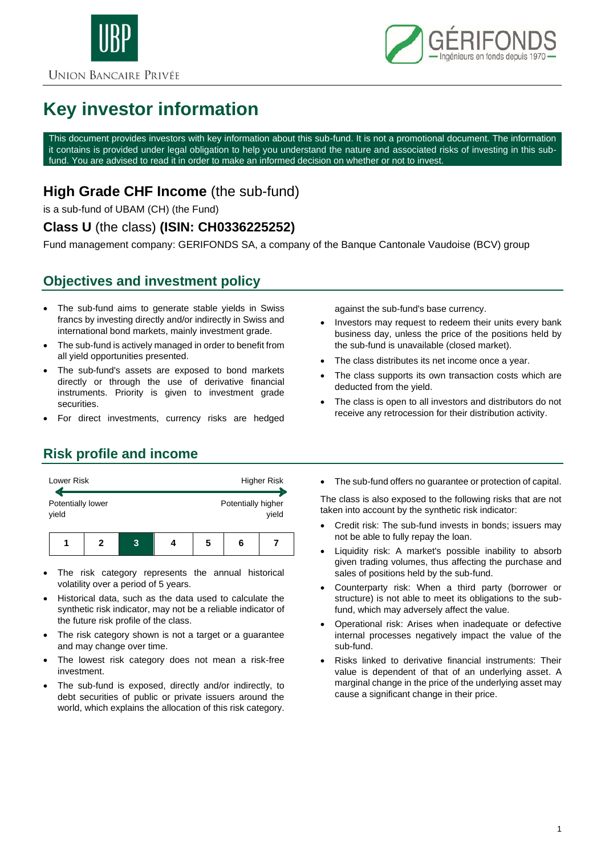



# **Key investor information**

This document provides investors with key information about this sub-fund. It is not a promotional document. The information it contains is provided under legal obligation to help you understand the nature and associated risks of investing in this subfund. You are advised to read it in order to make an informed decision on whether or not to invest.

## **High Grade CHF Income** (the sub-fund)

is a sub-fund of UBAM (CH) (the Fund)

#### **Class U** (the class) **(ISIN: CH0336225252)**

Fund management company: GERIFONDS SA, a company of the Banque Cantonale Vaudoise (BCV) group

## **Objectives and investment policy**

- The sub-fund aims to generate stable yields in Swiss francs by investing directly and/or indirectly in Swiss and international bond markets, mainly investment grade.
- The sub-fund is actively managed in order to benefit from all yield opportunities presented.
- The sub-fund's assets are exposed to bond markets directly or through the use of derivative financial instruments. Priority is given to investment grade securities.
- For direct investments, currency risks are hedged

against the sub-fund's base currency.

- Investors may request to redeem their units every bank business day, unless the price of the positions held by the sub-fund is unavailable (closed market).
- The class distributes its net income once a year.
- The class supports its own transaction costs which are deducted from the yield.
- The class is open to all investors and distributors do not receive any retrocession for their distribution activity.

## **Risk profile and income**



- The risk category represents the annual historical volatility over a period of 5 years.
- Historical data, such as the data used to calculate the synthetic risk indicator, may not be a reliable indicator of the future risk profile of the class.
- The risk category shown is not a target or a guarantee and may change over time.
- The lowest risk category does not mean a risk-free investment.
- The sub-fund is exposed, directly and/or indirectly, to debt securities of public or private issuers around the world, which explains the allocation of this risk category.

• The sub-fund offers no guarantee or protection of capital.

The class is also exposed to the following risks that are not taken into account by the synthetic risk indicator:

- Credit risk: The sub-fund invests in bonds; issuers may not be able to fully repay the loan.
- Liquidity risk: A market's possible inability to absorb given trading volumes, thus affecting the purchase and sales of positions held by the sub-fund.
- Counterparty risk: When a third party (borrower or structure) is not able to meet its obligations to the subfund, which may adversely affect the value.
- Operational risk: Arises when inadequate or defective internal processes negatively impact the value of the sub-fund.
- Risks linked to derivative financial instruments: Their value is dependent of that of an underlying asset. A marginal change in the price of the underlying asset may cause a significant change in their price.